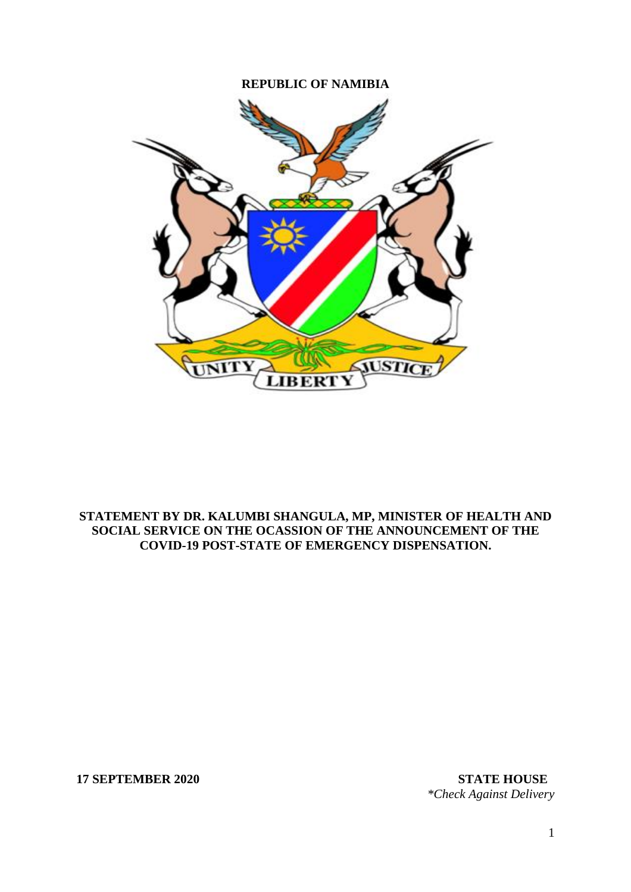## **REPUBLIC OF NAMIBIA**



## **STATEMENT BY DR. KALUMBI SHANGULA, MP, MINISTER OF HEALTH AND SOCIAL SERVICE ON THE OCASSION OF THE ANNOUNCEMENT OF THE COVID-19 POST-STATE OF EMERGENCY DISPENSATION.**

**17 SEPTEMBER 2020 STATE HOUSE**

*\*Check Against Delivery*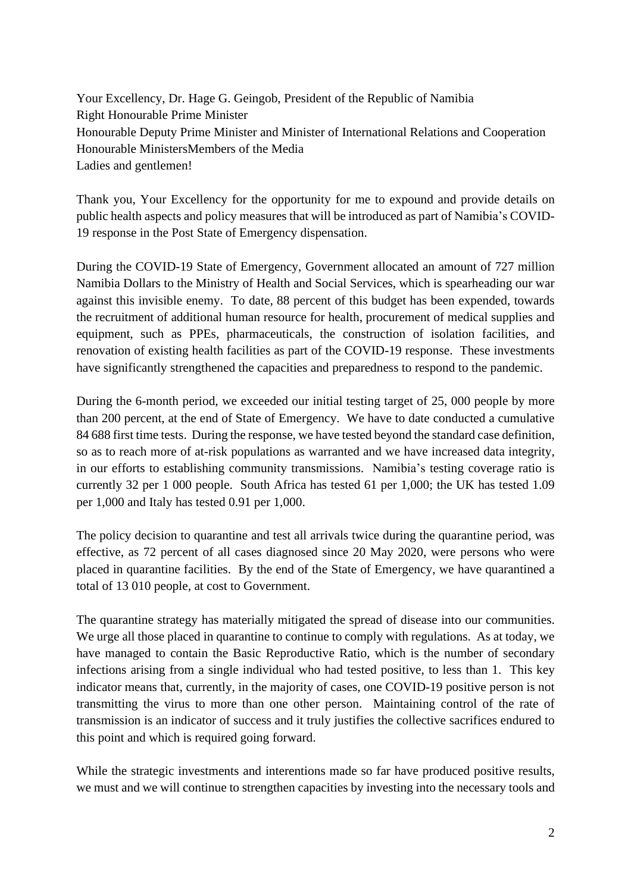Your Excellency, Dr. Hage G. Geingob, President of the Republic of Namibia Right Honourable Prime Minister Honourable Deputy Prime Minister and Minister of International Relations and Cooperation Honourable MinistersMembers of the Media Ladies and gentlemen!

Thank you, Your Excellency for the opportunity for me to expound and provide details on public health aspects and policy measures that will be introduced as part of Namibia's COVID-19 response in the Post State of Emergency dispensation.

During the COVID-19 State of Emergency, Government allocated an amount of 727 million Namibia Dollars to the Ministry of Health and Social Services, which is spearheading our war against this invisible enemy. To date, 88 percent of this budget has been expended, towards the recruitment of additional human resource for health, procurement of medical supplies and equipment, such as PPEs, pharmaceuticals, the construction of isolation facilities, and renovation of existing health facilities as part of the COVID-19 response. These investments have significantly strengthened the capacities and preparedness to respond to the pandemic.

During the 6-month period, we exceeded our initial testing target of 25, 000 people by more than 200 percent, at the end of State of Emergency. We have to date conducted a cumulative 84 688 first time tests. During the response, we have tested beyond the standard case definition, so as to reach more of at-risk populations as warranted and we have increased data integrity, in our efforts to establishing community transmissions. Namibia's testing coverage ratio is currently 32 per 1 000 people. South Africa has tested 61 per 1,000; the UK has tested 1.09 per 1,000 and Italy has tested 0.91 per 1,000.

The policy decision to quarantine and test all arrivals twice during the quarantine period, was effective, as 72 percent of all cases diagnosed since 20 May 2020, were persons who were placed in quarantine facilities. By the end of the State of Emergency, we have quarantined a total of 13 010 people, at cost to Government.

The quarantine strategy has materially mitigated the spread of disease into our communities. We urge all those placed in quarantine to continue to comply with regulations. As at today, we have managed to contain the Basic Reproductive Ratio, which is the number of secondary infections arising from a single individual who had tested positive, to less than 1. This key indicator means that, currently, in the majority of cases, one COVID-19 positive person is not transmitting the virus to more than one other person. Maintaining control of the rate of transmission is an indicator of success and it truly justifies the collective sacrifices endured to this point and which is required going forward.

While the strategic investments and interentions made so far have produced positive results, we must and we will continue to strengthen capacities by investing into the necessary tools and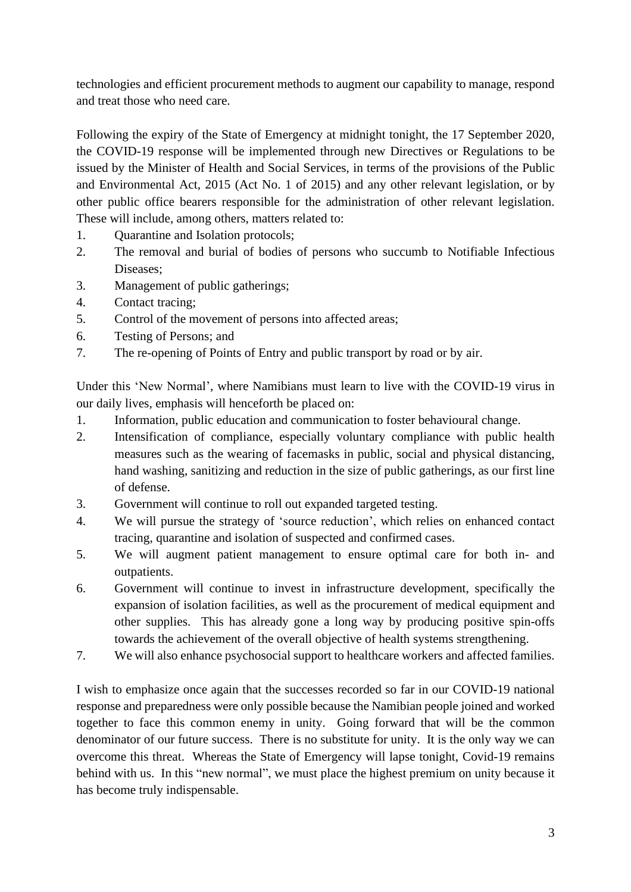technologies and efficient procurement methods to augment our capability to manage, respond and treat those who need care.

Following the expiry of the State of Emergency at midnight tonight, the 17 September 2020, the COVID-19 response will be implemented through new Directives or Regulations to be issued by the Minister of Health and Social Services, in terms of the provisions of the Public and Environmental Act, 2015 (Act No. 1 of 2015) and any other relevant legislation, or by other public office bearers responsible for the administration of other relevant legislation. These will include, among others, matters related to:

- 1. Quarantine and Isolation protocols;
- 2. The removal and burial of bodies of persons who succumb to Notifiable Infectious Diseases;
- 3. Management of public gatherings;
- 4. Contact tracing;
- 5. Control of the movement of persons into affected areas;
- 6. Testing of Persons; and
- 7. The re-opening of Points of Entry and public transport by road or by air.

Under this 'New Normal', where Namibians must learn to live with the COVID-19 virus in our daily lives, emphasis will henceforth be placed on:

- 1. Information, public education and communication to foster behavioural change.
- 2. Intensification of compliance, especially voluntary compliance with public health measures such as the wearing of facemasks in public, social and physical distancing, hand washing, sanitizing and reduction in the size of public gatherings, as our first line of defense.
- 3. Government will continue to roll out expanded targeted testing.
- 4. We will pursue the strategy of 'source reduction', which relies on enhanced contact tracing, quarantine and isolation of suspected and confirmed cases.
- 5. We will augment patient management to ensure optimal care for both in- and outpatients.
- 6. Government will continue to invest in infrastructure development, specifically the expansion of isolation facilities, as well as the procurement of medical equipment and other supplies. This has already gone a long way by producing positive spin-offs towards the achievement of the overall objective of health systems strengthening.
- 7. We will also enhance psychosocial support to healthcare workers and affected families.

I wish to emphasize once again that the successes recorded so far in our COVID-19 national response and preparedness were only possible because the Namibian people joined and worked together to face this common enemy in unity. Going forward that will be the common denominator of our future success. There is no substitute for unity. It is the only way we can overcome this threat. Whereas the State of Emergency will lapse tonight, Covid-19 remains behind with us. In this "new normal", we must place the highest premium on unity because it has become truly indispensable.